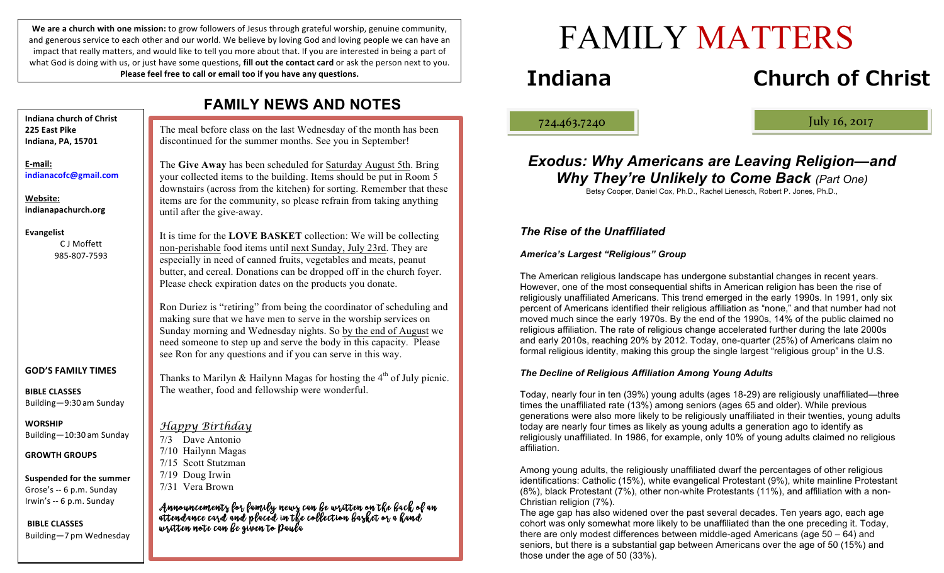We are a church with one mission: to grow followers of Jesus through grateful worship, genuine community, and generous service to each other and our world. We believe by loving God and loving people we can have an impact that really matters, and would like to tell you more about that. If you are interested in being a part of what God is doing with us, or just have some questions, **fill out the contact card** or ask the person next to you. **Please feel free to call or email too if you have any questions.** 

| <b>FAMILY NEWS AND NOTES</b>                                                 |                                                                                                                                                                                                                                                                                                                                                                                                                                                                                              |
|------------------------------------------------------------------------------|----------------------------------------------------------------------------------------------------------------------------------------------------------------------------------------------------------------------------------------------------------------------------------------------------------------------------------------------------------------------------------------------------------------------------------------------------------------------------------------------|
| <b>Indiana church of Christ</b><br>225 East Pike<br>Indiana, PA, 15701       | The meal before class on the last Wednesday of the month has been<br>discontinued for the summer months. See you in September!                                                                                                                                                                                                                                                                                                                                                               |
| E-mail:<br>indianacofc@gmail.com<br>Website:<br>indianapachurch.org          | The Give Away has been scheduled for Saturday August 5th. Bring<br>your collected items to the building. Items should be put in Room 5<br>downstairs (across from the kitchen) for sorting. Remember that these<br>items are for the community, so please refrain from taking anything<br>until after the give-away.                                                                                                                                                                         |
| <b>Evangelist</b><br>C J Moffett<br>985-807-7593                             | It is time for the LOVE BASKET collection: We will be collecting<br>non-perishable food items until next Sunday, July 23rd. They are<br>especially in need of canned fruits, vegetables and meats, peanut<br>butter, and cereal. Donations can be dropped off in the church foyer.<br>Please check expiration dates on the products you donate.<br>Ron Duriez is "retiring" from being the coordinator of scheduling and<br>making sure that we have men to serve in the worship services on |
|                                                                              | Sunday morning and Wednesday nights. So by the end of August we<br>need someone to step up and serve the body in this capacity. Please<br>see Ron for any questions and if you can serve in this way.                                                                                                                                                                                                                                                                                        |
| <b>GOD'S FAMILY TIMES</b><br><b>BIBLE CLASSES</b><br>Building-9:30 am Sunday | Thanks to Marilyn & Hailynn Magas for hosting the $4th$ of July picnic.<br>The weather, food and fellowship were wonderful.                                                                                                                                                                                                                                                                                                                                                                  |
| <b>WORSHIP</b><br>Building-10:30 am Sunday                                   | Happy Birthday<br>Dave Antonio<br>7/3                                                                                                                                                                                                                                                                                                                                                                                                                                                        |
| <b>GROWTH GROUPS</b>                                                         | 7/10 Hailynn Magas<br>7/15 Scott Stutzman                                                                                                                                                                                                                                                                                                                                                                                                                                                    |
| <b>Suspended for the summer</b><br>Grose's -- 6 p.m. Sunday                  | 7/19 Doug Irwin<br>7/31 Vera Brown                                                                                                                                                                                                                                                                                                                                                                                                                                                           |
| Irwin's -- 6 p.m. Sunday<br><b>BIBLE CLASSES</b><br>Building-7 pm Wednesday  | Announcements for family news can be written on the back of an<br>attendance card and placed in the collection basket or a hand<br>written note can be given to Paula                                                                                                                                                                                                                                                                                                                        |

Ī

# FAMILY MATTERS

## **Indiana Church of Christ**

ļ

724.463.7240 July 16, 2017

### *Exodus: Why Americans are Leaving Religion—and Why They're Unlikely to Come Back (Part One)*

Betsy Cooper, Daniel Cox, Ph.D., Rachel Lienesch, Robert P. Jones, Ph.D.,

#### *The Rise of the Unaffiliated*

#### *America's Largest "Religious" Group*

The American religious landscape has undergone substantial changes in recent years. However, one of the most consequential shifts in American religion has been the rise of religiously unaffiliated Americans. This trend emerged in the early 1990s. In 1991, only six percent of Americans identified their religious affiliation as "none," and that number had not moved much since the early 1970s. By the end of the 1990s, 14% of the public claimed no religious affiliation. The rate of religious change accelerated further during the late 2000s and early 2010s, reaching 20% by 2012. Today, one-quarter (25%) of Americans claim no formal religious identity, making this group the single largest "religious group" in the U.S.

#### *The Decline of Religious Affiliation Among Young Adults*

Today, nearly four in ten (39%) young adults (ages 18-29) are religiously unaffiliated—three times the unaffiliated rate (13%) among seniors (ages 65 and older). While previous generations were also more likely to be religiously unaffiliated in their twenties, young adults today are nearly four times as likely as young adults a generation ago to identify as religiously unaffiliated. In 1986, for example, only 10% of young adults claimed no religious affiliation.

Among young adults, the religiously unaffiliated dwarf the percentages of other religious identifications: Catholic (15%), white evangelical Protestant (9%), white mainline Protestant (8%), black Protestant (7%), other non-white Protestants (11%), and affiliation with a non-Christian religion (7%).

The age gap has also widened over the past several decades. Ten years ago, each age cohort was only somewhat more likely to be unaffiliated than the one preceding it. Today, there are only modest differences between middle-aged Americans (age 50 – 64) and seniors, but there is a substantial gap between Americans over the age of 50 (15%) and those under the age of 50 (33%).